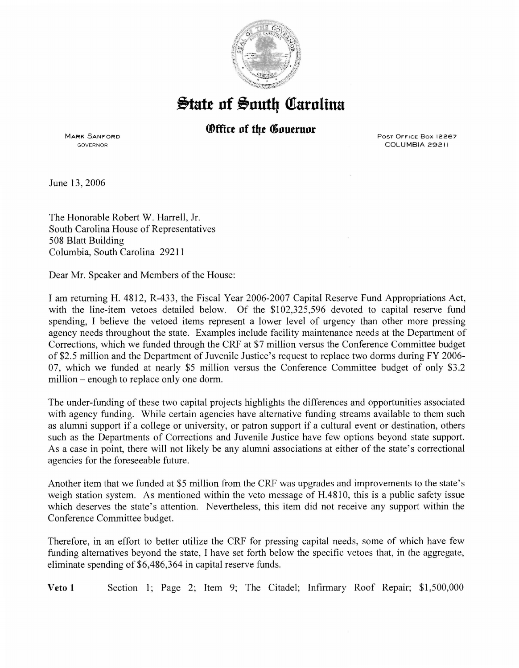

## $\frac{1}{2}$ tate of South Carolina

## *®ffice of the Governor*

MARK SANFORD **GOVERNOR** 

Post OFFICE Box 12267 COLUMBIA 29211

June 13, 2006

The Honorable Robert W. Harrell, Jr. South Carolina House of Representatives 508 Blatt Building Columbia, South Carolina 29211

Dear Mr. Speaker and Members of the House:

I am returning H. 4812, R-433, the Fiscal Year 2006-2007 Capital Reserve Fund Appropriations Act, with the line-item vetoes detailed below. Of the \$102,325,596 devoted to capital reserve fund spending, I believe the vetoed items represent a lower level of urgency than other more pressing agency needs throughout the state. Examples include facility maintenance needs at the Department of Corrections, which we funded through the CRF at \$7 million versus the Conference Committee budget of \$2.5 million and the Department of Juvenile Justice's request to replace two dorms during FY 2006- 07, which we funded at nearly \$5 million versus the Conference Committee budget of only \$3.2 million – enough to replace only one dorm.

The under-funding of these two capital projects highlights the differences and opportunities associated with agency funding. While certain agencies have alternative funding streams available to them such as alumni support if a college or university, or patron support if a cultural event or destination, others such as the Departments of Corrections and Juvenile Justice have few options beyond state support. As a case in point, there will not likely be any alumni associations at either of the state's correctional agencies for the foreseeable future.

Another item that we funded at \$5 million from the CRF was upgrades and improvements to the state's weigh station system. As mentioned within the veto message of H.4810, this is a public safety issue which deserves the state's attention. Nevertheless, this item did not receive any support within the Conference Committee budget.

Therefore, in an effort to better utilize the CRF for pressing capital needs, some of which have few funding alternatives beyond the state, I have set forth below the specific vetoes that, in the aggregate, eliminate spending of \$6,486,364 in capital reserve funds.

Veto **1** Section 1; Page 2; Item 9; The Citadel; Infirmary Roof Repair; \$1,500,000